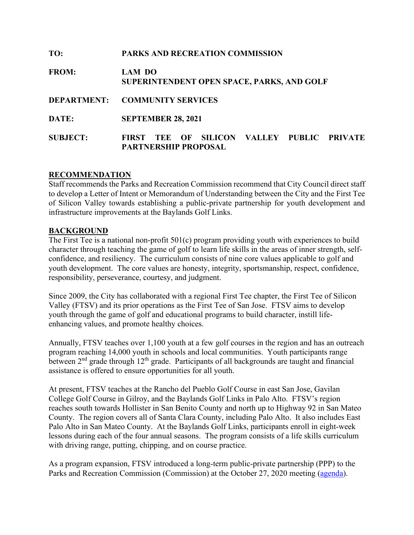| TO:             | PARKS AND RECREATION COMMISSION                                                     |  |  |
|-----------------|-------------------------------------------------------------------------------------|--|--|
| <b>FROM:</b>    | <b>LAM DO</b><br>SUPERINTENDENT OPEN SPACE, PARKS, AND GOLF                         |  |  |
|                 | DEPARTMENT: COMMUNITY SERVICES                                                      |  |  |
| DATE:           | <b>SEPTEMBER 28, 2021</b>                                                           |  |  |
| <b>SUBJECT:</b> | TEE OF SILICON VALLEY PUBLIC PRIVATE<br><b>FIRST</b><br><b>PARTNERSHIP PROPOSAL</b> |  |  |

#### **RECOMMENDATION**

Staff recommends the Parks and Recreation Commission recommend that City Council direct staff to develop a Letter of Intent or Memorandum of Understanding between the City and the First Tee of Silicon Valley towards establishing a public-private partnership for youth development and infrastructure improvements at the Baylands Golf Links.

#### **BACKGROUND**

The First Tee is a national non-profit 501(c) program providing youth with experiences to build character through teaching the game of golf to learn life skills in the areas of inner strength, selfconfidence, and resiliency. The curriculum consists of nine core values applicable to golf and youth development. The core values are honesty, integrity, sportsmanship, respect, confidence, responsibility, perseverance, courtesy, and judgment.

Since 2009, the City has collaborated with a regional First Tee chapter, the First Tee of Silicon Valley (FTSV) and its prior operations as the First Tee of San Jose. FTSV aims to develop youth through the game of golf and educational programs to build character, instill lifeenhancing values, and promote healthy choices.

Annually, FTSV teaches over 1,100 youth at a few golf courses in the region and has an outreach program reaching 14,000 youth in schools and local communities. Youth participants range between  $2<sup>nd</sup>$  grade through  $12<sup>th</sup>$  grade. Participants of all backgrounds are taught and financial assistance is offered to ensure opportunities for all youth.

At present, FTSV teaches at the Rancho del Pueblo Golf Course in east San Jose, Gavilan College Golf Course in Gilroy, and the Baylands Golf Links in Palo Alto. FTSV's region reaches south towards Hollister in San Benito County and north up to Highway 92 in San Mateo County. The region covers all of Santa Clara County, including Palo Alto. It also includes East Palo Alto in San Mateo County. At the Baylands Golf Links, participants enroll in eight-week lessons during each of the four annual seasons. The program consists of a life skills curriculum with driving range, putting, chipping, and on course practice.

As a program expansion, FTSV introduced a long-term public-private partnership (PPP) to the Parks and Recreation Commission (Commission) at the October 27, 2020 meeting [\(agenda\)](https://www.cityofpaloalto.org/files/assets/public/agendas-minutes-reports/agendas-minutes/parks-and-recreation-commission/agendas-minutes/2020-agenda-and-minutes/october-27-2020-parks-and-recreation-agenda.pdf).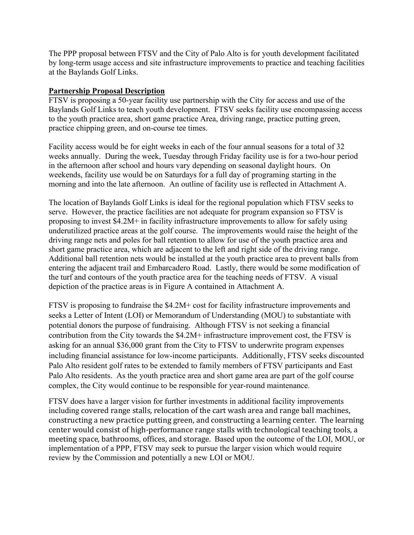The PPP proposal between FTSV and the City of Palo Alto is for youth development facilitated by long-term usage access and site infrastructure improvements to practice and teaching facilities at the Baylands Golf Links.

### **Partnership Proposal Description**

FTSV is proposing a 50-year facility use partnership with the City for access and use of the Baylands Golf Links to teach youth development. FTSV seeks facility use encompassing access to the youth practice area, short game practice Area, driving range, practice putting green, practice chipping green, and on-course tee times.

Facility access would be for eight weeks in each of the four annual seasons for a total of 32 weeks annually. During the week, Tuesday through Friday facility use is for a two-hour period in the afternoon after school and hours vary depending on seasonal daylight hours. On weekends, facility use would be on Saturdays for a full day of programing starting in the morning and into the late afternoon. An outline of facility use is reflected in Attachment A.

The location of Baylands Golf Links is ideal for the regional population which FTSV seeks to serve. However, the practice facilities are not adequate for program expansion so FTSV is proposing to invest \$4.2M+ in facility infrastructure improvements to allow for safely using underutilized practice areas at the golf course. The improvements would raise the height of the driving range nets and poles for ball retention to allow for use of the youth practice area and short game practice area, which are adjacent to the left and right side of the driving range. Additional ball retention nets would be installed at the youth practice area to prevent balls from entering the adjacent trail and Embarcadero Road. Lastly, there would be some modification of the turf and contours of the youth practice area for the teaching needs of FTSV. A visual depiction of the practice areas is in Figure A contained in Attachment A.

FTSV is proposing to fundraise the \$4.2M+ cost for facility infrastructure improvements and seeks a Letter of Intent (LOI) or Memorandum of Understanding (MOU) to substantiate with potential donors the purpose of fundraising. Although FTSV is not seeking a financial contribution from the City towards the \$4.2M+ infrastructure improvement cost, the FTSV is asking for an annual \$36,000 grant from the City to FTSV to underwrite program expenses including financial assistance for low-income participants. Additionally, FTSV seeks discounted Palo Alto resident golf rates to be extended to family members of FTSV participants and East Palo Alto residents. As the youth practice area and short game area are part of the golf course complex, the City would continue to be responsible for year-round maintenance.

FTSV does have a larger vision for further investments in additional facility improvements including covered range stalls, relocation of the cart wash area and range ball machines, constructing a new practice putting green, and constructing a learning center. The learning center would consist of high-performance range stalls with technological teaching tools, a meeting space, bathrooms, offices, and storage. Based upon the outcome of the LOI, MOU, or implementation of a PPP, FTSV may seek to pursue the larger vision which would require review by the Commission and potentially a new LOI or MOU.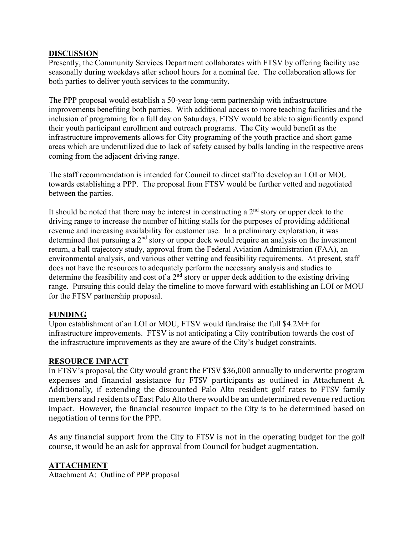#### **DISCUSSION**

Presently, the Community Services Department collaborates with FTSV by offering facility use seasonally during weekdays after school hours for a nominal fee. The collaboration allows for both parties to deliver youth services to the community.

The PPP proposal would establish a 50-year long-term partnership with infrastructure improvements benefiting both parties. With additional access to more teaching facilities and the inclusion of programing for a full day on Saturdays, FTSV would be able to significantly expand their youth participant enrollment and outreach programs. The City would benefit as the infrastructure improvements allows for City programing of the youth practice and short game areas which are underutilized due to lack of safety caused by balls landing in the respective areas coming from the adjacent driving range.

The staff recommendation is intended for Council to direct staff to develop an LOI or MOU towards establishing a PPP. The proposal from FTSV would be further vetted and negotiated between the parties.

It should be noted that there may be interest in constructing a  $2<sup>nd</sup>$  story or upper deck to the driving range to increase the number of hitting stalls for the purposes of providing additional revenue and increasing availability for customer use. In a preliminary exploration, it was determined that pursuing a  $2<sup>nd</sup>$  story or upper deck would require an analysis on the investment return, a ball trajectory study, approval from the Federal Aviation Administration (FAA), an environmental analysis, and various other vetting and feasibility requirements. At present, staff does not have the resources to adequately perform the necessary analysis and studies to determine the feasibility and cost of a  $2<sup>nd</sup>$  story or upper deck addition to the existing driving range. Pursuing this could delay the timeline to move forward with establishing an LOI or MOU for the FTSV partnership proposal.

### **FUNDING**

Upon establishment of an LOI or MOU, FTSV would fundraise the full \$4.2M+ for infrastructure improvements. FTSV is not anticipating a City contribution towards the cost of the infrastructure improvements as they are aware of the City's budget constraints.

### **RESOURCE IMPACT**

In FTSV's proposal, the City would grant the FTSV \$36,000 annually to underwrite program expenses and financial assistance for FTSV participants as outlined in Attachment A. Additionally, if extending the discounted Palo Alto resident golf rates to FTSV family members and residents of East Palo Alto there would be an undetermined revenue reduction impact. However, the financial resource impact to the City is to be determined based on negotiation of terms for the PPP.

As any financial support from the City to FTSV is not in the operating budget for the golf course, it would be an ask for approval from Council for budget augmentation.

### **ATTACHMENT**

Attachment A: Outline of PPP proposal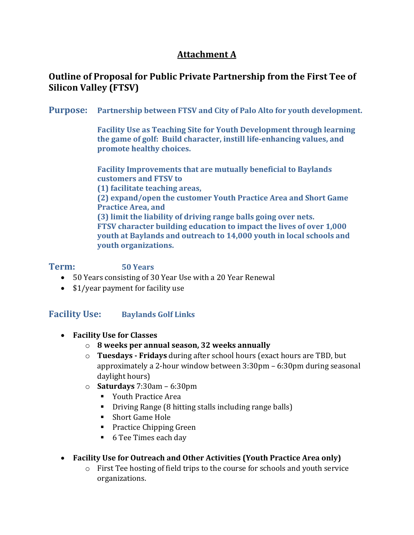# **Attachment A**

## **Outline of Proposal for Public Private Partnership from the First Tee of Silicon Valley (FTSV)**

**Purpose: Partnership between FTSV and City of Palo Alto for youth development.**

**Facility Use as Teaching Site for Youth Development through learning the game of golf: Build character, instill life-enhancing values, and promote healthy choices.**

**Facility Improvements that are mutually beneficial to Baylands customers and FTSV to (1) facilitate teaching areas, (2) expand/open the customer Youth Practice Area and Short Game Practice Area, and (3) limit the liability of driving range balls going over nets. FTSV character building education to impact the lives of over 1,000 youth at Baylands and outreach to 14,000 youth in local schools and youth organizations.**

### **Term: 50 Years**

- 50 Years consisting of 30 Year Use with a 20 Year Renewal
- \$1/year payment for facility use

### **Facility Use: Baylands Golf Links**

- **Facility Use for Classes**
	- o **8 weeks per annual season, 32 weeks annually**
	- o **Tuesdays - Fridays** during after school hours (exact hours are TBD, but approximately a 2-hour window between 3:30pm – 6:30pm during seasonal daylight hours)
	- o **Saturdays** 7:30am 6:30pm
		- Youth Practice Area
		- Driving Range (8 hitting stalls including range balls)
		- Short Game Hole
		- **Practice Chipping Green**
		- 6 Tee Times each day
- **Facility Use for Outreach and Other Activities (Youth Practice Area only)**
	- o First Tee hosting of field trips to the course for schools and youth service organizations.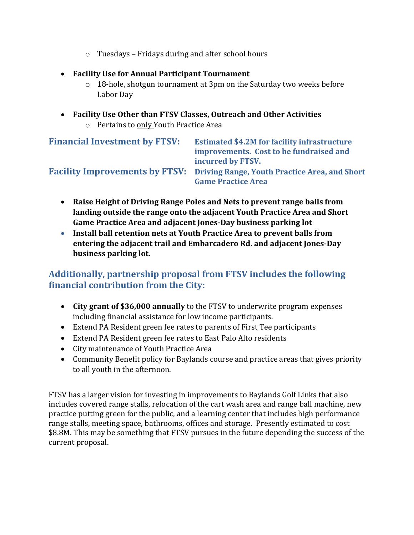- o Tuesdays Fridays during and after school hours
- **Facility Use for Annual Participant Tournament**
	- $\circ$  18-hole, shotgun tournament at 3pm on the Saturday two weeks before Labor Day
- **Facility Use Other than FTSV Classes, Outreach and Other Activities** o Pertains to only Youth Practice Area

| <b>Financial Investment by FTSV:</b> | <b>Estimated \$4.2M for facility infrastructure</b><br>improvements. Cost to be fundraised and<br>incurred by FTSV. |
|--------------------------------------|---------------------------------------------------------------------------------------------------------------------|
|                                      | Facility Improvements by FTSV: Driving Range, Youth Practice Area, and Short<br><b>Game Practice Area</b>           |

- **Raise Height of Driving Range Poles and Nets to prevent range balls from landing outside the range onto the adjacent Youth Practice Area and Short Game Practice Area and adjacent Jones-Day business parking lot**
- **Install ball retention nets at Youth Practice Area to prevent balls from entering the adjacent trail and Embarcadero Rd. and adjacent Jones-Day business parking lot.**

# **Additionally, partnership proposal from FTSV includes the following financial contribution from the City:**

- **City grant of \$36,000 annually** to the FTSV to underwrite program expenses including financial assistance for low income participants.
- Extend PA Resident green fee rates to parents of First Tee participants
- Extend PA Resident green fee rates to East Palo Alto residents
- City maintenance of Youth Practice Area
- Community Benefit policy for Baylands course and practice areas that gives priority to all youth in the afternoon.

FTSV has a larger vision for investing in improvements to Baylands Golf Links that also includes covered range stalls, relocation of the cart wash area and range ball machine, new practice putting green for the public, and a learning center that includes high performance range stalls, meeting space, bathrooms, offices and storage. Presently estimated to cost \$8.8M. This may be something that FTSV pursues in the future depending the success of the current proposal.